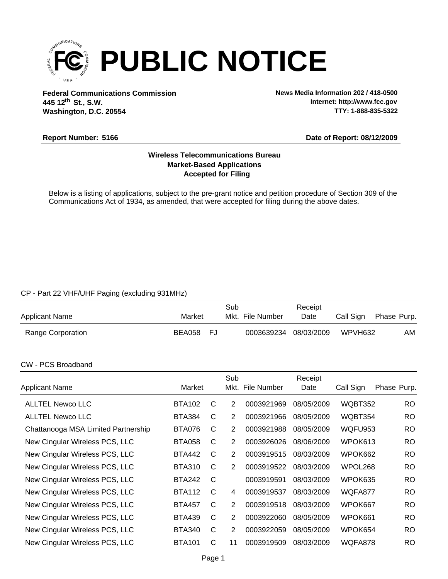

**Federal Communications Commission News Media Information 202 / 418-0500 Washington, D.C. 20554 th 445 12 St., S.W.**

**Internet: http://www.fcc.gov TTY: 1-888-835-5322**

#### **Report Number: 5166**

#### **Date of Report: 08/12/2009**

### **Accepted for Filing Market-Based Applications Wireless Telecommunications Bureau**

Below is a listing of applications, subject to the pre-grant notice and petition procedure of Section 309 of the Communications Act of 1934, as amended, that were accepted for filing during the above dates.

## CP - Part 22 VHF/UHF Paging (excluding 931MHz)

| <b>Applicant Name</b> | Market    | Sub<br>Mkt. File Number | Receipt<br>Date | Call Sign | Phase Purp. |
|-----------------------|-----------|-------------------------|-----------------|-----------|-------------|
| Range Corporation     | BEA058 FJ | 0003639234 08/03/2009   |                 | WPVH632   | AM          |

#### CW - PCS Broadband

| <b>Applicant Name</b>               | Market        |   | Sub            | Mkt. File Number | Receipt<br>Date | Call Sign | Phase Purp. |
|-------------------------------------|---------------|---|----------------|------------------|-----------------|-----------|-------------|
| <b>ALLTEL Newco LLC</b>             | <b>BTA102</b> | C | 2              | 0003921969       | 08/05/2009      | WQBT352   | <b>RO</b>   |
| <b>ALLTEL Newco LLC</b>             | <b>BTA384</b> | C | 2              | 0003921966       | 08/05/2009      | WQBT354   | <b>RO</b>   |
| Chattanooga MSA Limited Partnership | BTA076        | C | 2              | 0003921988       | 08/05/2009      | WQFU953   | <b>RO</b>   |
| New Cingular Wireless PCS, LLC      | <b>BTA058</b> | C | $\overline{2}$ | 0003926026       | 08/06/2009      | WPOK613   | <b>RO</b>   |
| New Cingular Wireless PCS, LLC      | <b>BTA442</b> | C | 2              | 0003919515       | 08/03/2009      | WPOK662   | <b>RO</b>   |
| New Cingular Wireless PCS, LLC      | <b>BTA310</b> | C | 2              | 0003919522       | 08/03/2009      | WPOL268   | <b>RO</b>   |
| New Cingular Wireless PCS, LLC      | <b>BTA242</b> | C |                | 0003919591       | 08/03/2009      | WPOK635   | <b>RO</b>   |
| New Cingular Wireless PCS, LLC      | <b>BTA112</b> | C | 4              | 0003919537       | 08/03/2009      | WQFA877   | <b>RO</b>   |
| New Cingular Wireless PCS, LLC      | <b>BTA457</b> | C | 2              | 0003919518       | 08/03/2009      | WPOK667   | <b>RO</b>   |
| New Cingular Wireless PCS, LLC      | <b>BTA439</b> | C | $\overline{2}$ | 0003922060       | 08/05/2009      | WPOK661   | <b>RO</b>   |
| New Cingular Wireless PCS, LLC      | <b>BTA340</b> | C | 2              | 0003922059       | 08/05/2009      | WPOK654   | <b>RO</b>   |
| New Cingular Wireless PCS, LLC      | <b>BTA101</b> | C | 11             | 0003919509       | 08/03/2009      | WQFA878   | <b>RO</b>   |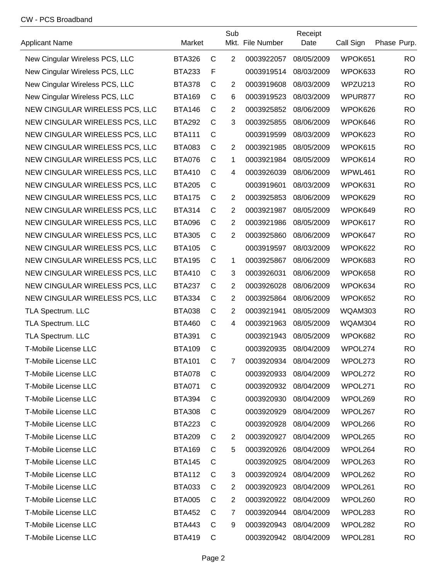#### CW - PCS Broadband

| <b>Applicant Name</b>          | Market        |              | Sub            | Mkt. File Number | Receipt<br>Date | Call Sign | Phase Purp. |
|--------------------------------|---------------|--------------|----------------|------------------|-----------------|-----------|-------------|
| New Cingular Wireless PCS, LLC | <b>BTA326</b> | $\mathsf{C}$ | $\overline{2}$ | 0003922057       | 08/05/2009      | WPOK651   | <b>RO</b>   |
| New Cingular Wireless PCS, LLC | <b>BTA233</b> | $\mathsf{F}$ |                | 0003919514       | 08/03/2009      | WPOK633   | <b>RO</b>   |
| New Cingular Wireless PCS, LLC | <b>BTA378</b> | $\mathsf{C}$ | 2              | 0003919608       | 08/03/2009      | WPZU213   | <b>RO</b>   |
| New Cingular Wireless PCS, LLC | <b>BTA169</b> | $\mathsf{C}$ | $\,6$          | 0003919523       | 08/03/2009      | WPUR877   | <b>RO</b>   |
| NEW CINGULAR WIRELESS PCS, LLC | <b>BTA146</b> | $\mathsf{C}$ | $\overline{2}$ | 0003925852       | 08/06/2009      | WPOK626   | <b>RO</b>   |
| NEW CINGULAR WIRELESS PCS, LLC | <b>BTA292</b> | $\mathsf{C}$ | 3              | 0003925855       | 08/06/2009      | WPOK646   | <b>RO</b>   |
| NEW CINGULAR WIRELESS PCS, LLC | <b>BTA111</b> | $\mathsf{C}$ |                | 0003919599       | 08/03/2009      | WPOK623   | <b>RO</b>   |
| NEW CINGULAR WIRELESS PCS, LLC | <b>BTA083</b> | $\mathsf{C}$ | 2              | 0003921985       | 08/05/2009      | WPOK615   | <b>RO</b>   |
| NEW CINGULAR WIRELESS PCS, LLC | <b>BTA076</b> | $\mathsf{C}$ | 1              | 0003921984       | 08/05/2009      | WPOK614   | <b>RO</b>   |
| NEW CINGULAR WIRELESS PCS, LLC | <b>BTA410</b> | $\mathsf{C}$ | 4              | 0003926039       | 08/06/2009      | WPWL461   | <b>RO</b>   |
| NEW CINGULAR WIRELESS PCS, LLC | <b>BTA205</b> | $\mathsf{C}$ |                | 0003919601       | 08/03/2009      | WPOK631   | <b>RO</b>   |
| NEW CINGULAR WIRELESS PCS, LLC | <b>BTA175</b> | $\mathsf{C}$ | $\overline{2}$ | 0003925853       | 08/06/2009      | WPOK629   | <b>RO</b>   |
| NEW CINGULAR WIRELESS PCS, LLC | <b>BTA314</b> | C            | $\overline{2}$ | 0003921987       | 08/05/2009      | WPOK649   | <b>RO</b>   |
| NEW CINGULAR WIRELESS PCS, LLC | <b>BTA096</b> | $\mathsf{C}$ | $\overline{2}$ | 0003921986       | 08/05/2009      | WPOK617   | <b>RO</b>   |
| NEW CINGULAR WIRELESS PCS, LLC | <b>BTA305</b> | $\mathsf{C}$ | $\overline{2}$ | 0003925860       | 08/06/2009      | WPOK647   | <b>RO</b>   |
| NEW CINGULAR WIRELESS PCS, LLC | <b>BTA105</b> | $\mathsf{C}$ |                | 0003919597       | 08/03/2009      | WPOK622   | <b>RO</b>   |
| NEW CINGULAR WIRELESS PCS, LLC | <b>BTA195</b> | $\mathsf{C}$ | 1              | 0003925867       | 08/06/2009      | WPOK683   | <b>RO</b>   |
| NEW CINGULAR WIRELESS PCS, LLC | <b>BTA410</b> | $\mathsf{C}$ | 3              | 0003926031       | 08/06/2009      | WPOK658   | <b>RO</b>   |
| NEW CINGULAR WIRELESS PCS, LLC | <b>BTA237</b> | $\mathsf{C}$ | $\overline{2}$ | 0003926028       | 08/06/2009      | WPOK634   | <b>RO</b>   |
| NEW CINGULAR WIRELESS PCS, LLC | <b>BTA334</b> | $\mathsf{C}$ | $\overline{2}$ | 0003925864       | 08/06/2009      | WPOK652   | <b>RO</b>   |
| TLA Spectrum. LLC              | <b>BTA038</b> | $\mathsf{C}$ | $\overline{2}$ | 0003921941       | 08/05/2009      | WQAM303   | <b>RO</b>   |
| TLA Spectrum. LLC              | <b>BTA460</b> | $\mathsf{C}$ | 4              | 0003921963       | 08/05/2009      | WQAM304   | <b>RO</b>   |
| TLA Spectrum. LLC              | <b>BTA391</b> | $\mathsf{C}$ |                | 0003921943       | 08/05/2009      | WPOK682   | <b>RO</b>   |
| <b>T-Mobile License LLC</b>    | <b>BTA109</b> | $\mathsf{C}$ |                | 0003920935       | 08/04/2009      | WPOL274   | <b>RO</b>   |
| T-Mobile License LLC           | <b>BTA101</b> | C            | 7              | 0003920934       | 08/04/2009      | WPOL273   | RO.         |
| T-Mobile License LLC           | <b>BTA078</b> | C            |                | 0003920933       | 08/04/2009      | WPOL272   | RO.         |
| T-Mobile License LLC           | <b>BTA071</b> | C            |                | 0003920932       | 08/04/2009      | WPOL271   | RO          |
| T-Mobile License LLC           | <b>BTA394</b> | C            |                | 0003920930       | 08/04/2009      | WPOL269   | RO          |
| T-Mobile License LLC           | <b>BTA308</b> | C            |                | 0003920929       | 08/04/2009      | WPOL267   | RO          |
| <b>T-Mobile License LLC</b>    | <b>BTA223</b> | C            |                | 0003920928       | 08/04/2009      | WPOL266   | <b>RO</b>   |
| <b>T-Mobile License LLC</b>    | <b>BTA209</b> | C            | 2              | 0003920927       | 08/04/2009      | WPOL265   | <b>RO</b>   |
| T-Mobile License LLC           | <b>BTA169</b> | C            | 5              | 0003920926       | 08/04/2009      | WPOL264   | <b>RO</b>   |
| T-Mobile License LLC           | <b>BTA145</b> | C            |                | 0003920925       | 08/04/2009      | WPOL263   | RO.         |
| T-Mobile License LLC           | <b>BTA112</b> | C            | 3              | 0003920924       | 08/04/2009      | WPOL262   | RO.         |
| T-Mobile License LLC           | <b>BTA033</b> | C            | $\overline{c}$ | 0003920923       | 08/04/2009      | WPOL261   | RO          |
| T-Mobile License LLC           | <b>BTA005</b> | C            | $\overline{2}$ | 0003920922       | 08/04/2009      | WPOL260   | RO          |
| T-Mobile License LLC           | <b>BTA452</b> | C            | 7              | 0003920944       | 08/04/2009      | WPOL283   | RO          |
| T-Mobile License LLC           | <b>BTA443</b> | C            | 9              | 0003920943       | 08/04/2009      | WPOL282   | RO          |
| T-Mobile License LLC           | <b>BTA419</b> | C            |                | 0003920942       | 08/04/2009      | WPOL281   | RO.         |